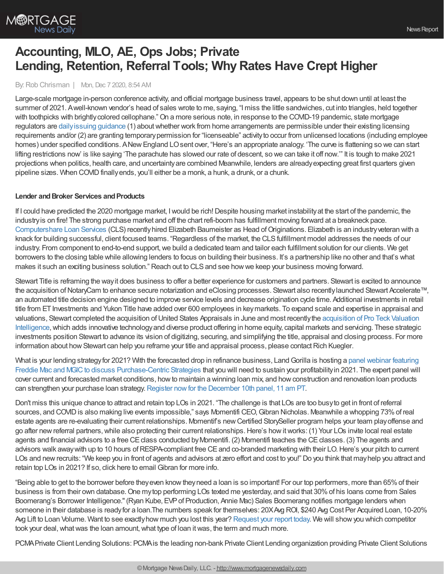

# **Accounting, MLO, AE, Ops Jobs; Private Lending, Retention, Referral Tools; WhyRates Have Crept Higher**

### By:Rob Chrisman | Mon, Dec 7 2020, 8:54 AM

Large-scale mortgage in-person conference activity, and official mortgage business travel, appears to be shut down until at least the summer of 2021. Awell-known vendor's head of sales wrote to me, saying, "I miss the little sandwiches, cut into triangles, held together with toothpicks with brightlycolored cellophane."On a more serious note, in response to the COVID-19 pandemic, state mortgage regulators are [dailyissuing](https://www.mondaq.com/unitedstates/financial-services/1012838/states-issue-workfromhome-guidance-for-mortgage-lenders) guidance (1) aboutwhether work from home arrangements are permissible under their existing licensing requirements and/or (2) are granting temporarypermission for "licenseable" activityto occur from unlicensed locations (including employee homes) under specified conditions. ANew England LO sent over, "Here's an appropriate analogy. 'The curve is flattening so we can start lifting restrictions now' is like saying 'The parachute has slowed our rate of descent, so we can take it off now.'" It is tough to make 2021 projections when politics, health care, and uncertainty are combined Meanwhile, lenders are already expecting great first quarters given pipeline sizes. When COVID finally ends, you'll either be a monk, a hunk, a drunk, or a chunk.

## **Lender and Broker Services and Products**

If I could have predicted the 2020 mortgage market, Iwould be rich!Despite housing market instabilityat the start of the pandemic, the industryis on fire! The strong purchase market and off the chart refi-boom has fulfillment moving forward at a breakneck pace. [Computershare](https://www.computershareloanservices.com/us?utm_source=Chrisman&utm_medium=Blog&utm_campaign=Fulfillment) Loan Services (CLS) recentlyhired Elizabeth Baumeister as Head ofOriginations. Elizabeth is an industryveteran with a knack for building successful, client focused teams. "Regardless of the market, the CLSfulfillment model addresses the needs of our industry. From component to end-to-end support, we build a dedicated team and tailor each fulfillment solution for our clients. We get borrowers to the closing table while allowing lenders to focus on building their business. It's a partnership like no other and that's what makes it such an exciting business solution." Reach out to CLS and see how we keep your business moving forward.

Stewart Title is reframing the wayit does business to offer a better experience for customers and partners. Stewart is excited to announce the acquisition of NotaryCam to enhance secure notarization and eClosing processes. Stewart also recently launched Stewart Accelerate™, an automated title decision engine designed to improve service levels and decrease origination cycle time. Additional investments in retail title from ET Investments and Yukon Title have added over 600 employees in key markets. To expand scale and expertise in appraisal and valuations, Stewart completed the acquisition of United States Appraisals in June and most recently the acquisition of Pro Teck Valuation Intelligence, which adds innovative technology and diverse product offering in home equity, capital markets and servicing. These strategic investments position Stewart to advance its vision of digitizing, securing, and simplifying the title, appraisal and closing process. For more information about how Stewart can help you reframe your title and appraisal process, please contact Rich Kuegler.

What is your lending strategy for 2021? With the forecasted drop in refinance business, Land Gorilla is hosting a panel webinar featuring Freddie Mac and MGIC to discuss [Purchase-Centric](https://hubs.ly/H0C2cPj0) Strategies that you will need to sustain your profitability in 2021. The expert panel will cover current and forecasted market conditions, howto maintain a winning loan mix, and howconstruction and renovation loan products can strengthen your purchase loan strategy. Register now for the [December](https://hubs.ly/H0C2cPj0) 10th panel, 11 am PT.

Don't miss this unique chance to attract and retain top LOs in 2021. "The challenge is that LOs are too busyto get in front of referral sources, and COVID is also making live events impossible," says Momentifi CEO, Gibran Nicholas. Meanwhile a whopping 73% of real estate agents are re-evaluating their current relationships. Momentif's new Certified StorySeller program helps your team play offense and go after new referral partners, while also protecting their current relationships. Here's how it works: (1) Your LOs invite local real estate agents and financial advisors to a free CE class conducted by Momentifi. (2) Momentifi teaches the CE classes. (3) The agents and advisors walk away with up to 10 hours of RESPA-compliant free CE and co-branded marketing with their LO. Here's your pitch to current LOs and new recruits: "We keep you in front of agents and advisors at zero effort and cost to you!" Do you think that may help you attract and retain top LOs in 2021? If so, click here to email Gibran for more info.

"Being able to get to the borrower before they even know they need a loan is so important! For our top performers, more than 65% of their business is from their own database.One mytop performing LOs texted me yesterday, and said that 30%of his loans come from Sales Boomerang's Borrower Intelligence."(Ryan Kube, EVPof Production, Annie Mac) Sales Boomerang notifies mortgage lenders when someone in their database is readyfor a loan.The numbers speak for themselves: 20XAvg ROI, \$240 Avg Cost Per Acquired Loan, 10-20% Avg Lift to Loan Volume. Want to see exactlyhow much you lost this year? [Request](https://hubs.ly/H0sx4nY0) your report today. We will showyou which competitor took your deal, what was the loan amount, what type of loan it was, the term and much more.

PCMAPrivate Client Lending Solutions: PCMAis the leading non-bank Private Client Lending organization providing Private Client Solutions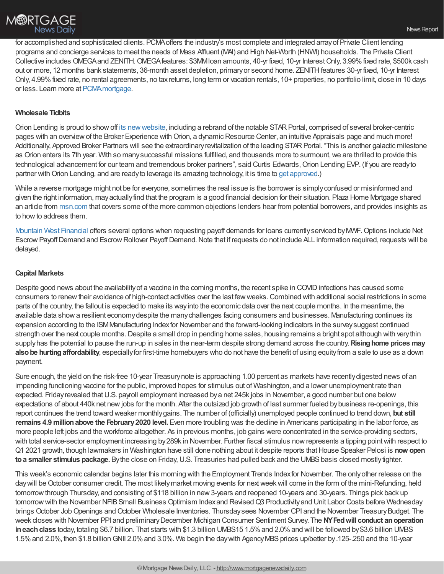

for accomplished and sophisticated clients. PCMAoffers the industry's most complete and integrated arrayof Private Client lending programs and concierge services to meet the needs of Mass Affluent (MAI) and High Net-Worth (HNWI) households. The Private Client Collective includes OMEGA and ZENITH. OMEGA features: \$3MM Ioan amounts, 40-yr fixed, 10-yr Interest Only, 3.99% fixed rate, \$500k cash out or more, 12 months bank statements, 36-month asset depletion, primary or second home. ZENITH features 30-yr fixed, 10-yr Interest Only, 4.99%fixed rate, no rental agreements, no taxreturns, long term or vacation rentals, 10+ properties, no portfolio limit, close in 10 days or less. Learn more at PCMA mortgage.

### **Wholesale Tidbits**

Orion Lending is proud to show off its new website, including a rebrand of the notable STAR Portal, comprised of several broker-centric pages with an overview of the Broker Experience with Orion, a dynamic Resource Center, an intuitive Appraisals page and much more! Additionally, Approved Broker Partners will see the extraordinary revitalization of the leading STAR Portal. "This is another galactic milestone as Orion enters its 7th year. With so many successful missions fulfilled, and thousands more to surmount, we are thrilled to provide this technological advancement for our team and tremendous broker partners", said Curtis Edwards, Orion Lending EVP. (If you are ready to partner with Orion Lending, and are ready to leverage its amazing technology, it is time to get [approved](https://orionlending.com/Sign-Up).)

While a reverse mortgage might not be for everyone, sometimes the real issue is the borrower is simply confused or misinformed and given the right information, mayactuallyfind that the program is a good financial decision for their situation. Plaza Home Mortgage shared an article from [msn.com](https://share.plazahomemortgage.com/e2t/tc/VWdwk189YC2tV95ysv2Ks3l0W22vCbp4jRxHGN3rtP5V5nxG7V3Zsc37CgBD2W8MFz_r5zxR-XW8v9hLG4lzqJbW6ZQ32p8S29ZzW1W5zwF2WFBPyW5HmFc438CfVBVG6ysQ4qQ7YDW5KRHDR2MQ-mHW4kZn1p5_xdBGN2-6q4WfCml8W4M02X51f8S1qW3bN2rT4kWKRDW26k-_l7-KCD2W47svh92f3Wt5W5_h65c3FxbD0W6XDGdP17GCQyW3v4lVv3vhNyRW5Z2Tw63jzMF7W3jXXMJ7_Z2tfV8sBRm4kbKhQW7_9zbZ73xkk6W18kY9h4k7qblN3Vqn_v-4hZdW6D1TkF42gd31W7LhDyD8djxSJW4z8gC34SY92bW1_RRb47QdDWqW29Ht3Q43DfL1W8TSvP-7bcq22W89fl1-35rxDWW8Ghq7v6N0DrfW45zTMx75dFZrW7tgvmK3FGKQB37211) that covers some of the more common objections lenders hear from potential borrowers, and provides insights as to how to address them.

[Mountain](https://www.mwfinc.com/) West Financial offers several options when requesting payoff demands for loans currently serviced by MWF. Options include Net Escrow Payoff Demand and Escrow Rollover Payoff Demand. Note that if requests do not include ALL information required, requests will be delayed.

#### **Capital Markets**

Despite good news about the availability of a vaccine in the coming months, the recent spike in COVID infections has caused some consumers to renewtheir avoidance of high-contact activities over the last fewweeks.Combined with additional social restrictions in some parts of the country, the fallout is expected to make its wayinto the economic data over the next couple months. In the meantime, the available data showa resilient economydespite the manychallenges facing consumers and businesses. Manufacturing continues its expansion according to the ISMManufacturing Indexfor November and the forward-looking indicators in the surveysuggest continued strength over the next couple months. Despite a small drop in pending home sales, housing remains a bright spot although with very thin supplyhas the potential to pause the run-up in sales in the near-term despite strong demand across the country.**Risinghome prices may also be hurting affordability**, especially for first-time homebuyers who do not have the benefit of using equity from a sale to use as a down payment.

Sure enough, the yield on the risk-free 10-year Treasurynote is approaching 1.00 percent as markets have recentlydigested news of an impending functioning vaccine for the public, improved hopes for stimulus out of Washington, and a lower unemployment rate than expected. Fridayrevealed thatU.S. payroll employment increased bya net 245k jobs in November, a good number but one below expectations of about 440k net newjobs for the month. After the outsized job growth of last summer fueled bybusiness re-openings, this report continues the trend toward weaker monthlygains. The number of (officially) unemployed people continued to trend down, **but still remains 4.9 millionabove the February2020 level.** Even more troubling was the decline in Americans participating in the labor force, as more people left jobs and the workforce altogether. As in previous months, job gains were concentrated in the service-providing sectors, with total service-sector employment increasing by 289k in November. Further fiscal stimulus now represents a tipping point with respect to Q1 2021 growth, though lawmakers in Washington have still done nothing about it despite reports thatHouse Speaker Pelosi is **now open to a smaller stimulus package.** By the close on Friday, U.S. Treasuries had pulled back and the UMBS basis closed mostly tighter.

This week's economic calendar begins later this morning with the Employment Trends Indexfor November. The onlyother release on the day will be October consumer credit. The most likely market moving events for next week will come in the form of the mini-Refunding, held tomorrow through Thursday, and consisting of \$118 billion in new 3-years and reopened 10-years and 30-years. Things pick back up tomorrow with the November NFIB Small Business Optimism Index and Revised Q3 Productivity and Unit Labor Costs before Wednesday brings October Job Openings and October Wholesale Inventories. Thursday sees November CPI and the November Treasury Budget. The week closes with November PPI and preliminaryDecember Michigan Consumer Sentiment Survey. The **NYFedwill conduct anoperation ineachclass** today, totaling \$6.7 billion. That starts with \$1.3 billion UMBS15 1.5%and 2.0%and will be followed by\$3.6 billion UMBS 1.5% and 2.0%, then \$1.8 billion GNII 2.0% and 3.0%. We begin the day with Agency MBS prices up/better by .125-.250 and the 10-year